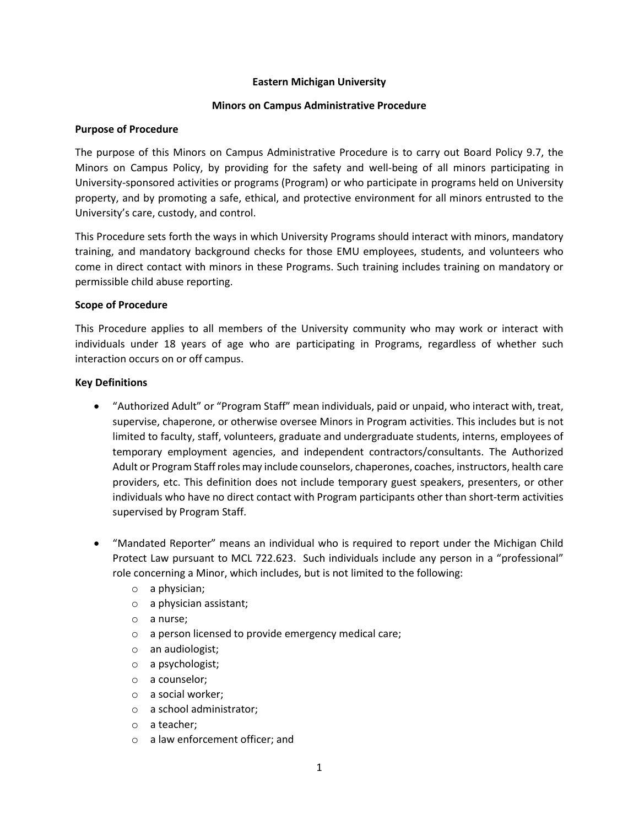### **Eastern Michigan University**

#### **Minors on Campus Administrative Procedure**

### **Purpose of Procedure**

The purpose of this Minors on Campus Administrative Procedure is to carry out Board Policy 9.7, the Minors on Campus Policy, by providing for the safety and well-being of all minors participating in University-sponsored activities or programs (Program) or who participate in programs held on University property, and by promoting a safe, ethical, and protective environment for all minors entrusted to the University's care, custody, and control.

This Procedure sets forth the ways in which University Programs should interact with minors, mandatory training, and mandatory background checks for those EMU employees, students, and volunteers who come in direct contact with minors in these Programs. Such training includes training on mandatory or permissible child abuse reporting.

### **Scope of Procedure**

This Procedure applies to all members of the University community who may work or interact with individuals under 18 years of age who are participating in Programs, regardless of whether such interaction occurs on or off campus.

### **Key Definitions**

- "Authorized Adult" or "Program Staff" mean individuals, paid or unpaid, who interact with, treat, supervise, chaperone, or otherwise oversee Minors in Program activities. This includes but is not limited to faculty, staff, volunteers, graduate and undergraduate students, interns, employees of temporary employment agencies, and independent contractors/consultants. The Authorized Adult or Program Staff roles may include counselors, chaperones, coaches, instructors, health care providers, etc. This definition does not include temporary guest speakers, presenters, or other individuals who have no direct contact with Program participants other than short-term activities supervised by Program Staff.
- "Mandated Reporter" means an individual who is required to report under the Michigan Child Protect Law pursuant to MCL 722.623. Such individuals include any person in a "professional" role concerning a Minor, which includes, but is not limited to the following:
	- o a physician;
	- o a physician assistant;
	- o a nurse;
	- o a person licensed to provide emergency medical care;
	- o an audiologist;
	- o a psychologist;
	- o a counselor;
	- o a social worker;
	- o a school administrator;
	- o a teacher;
	- o a law enforcement officer; and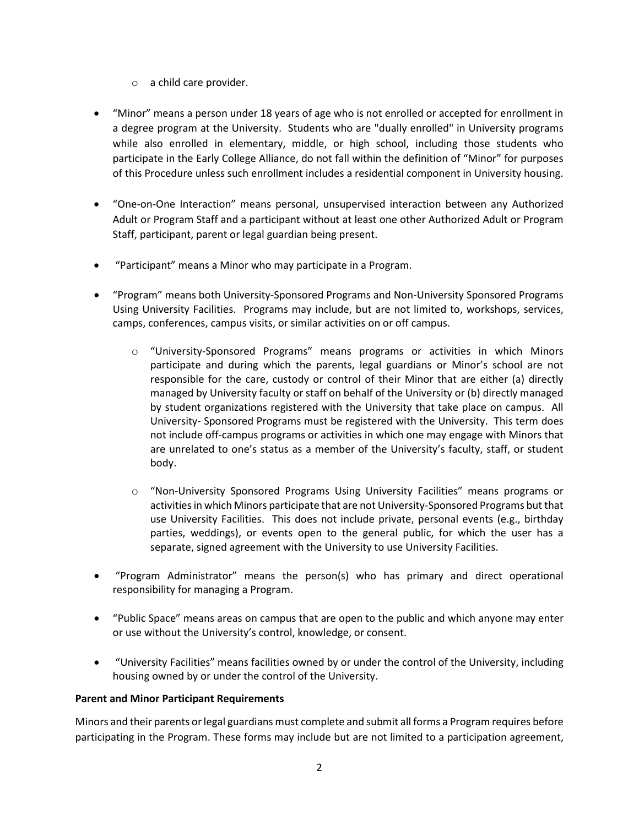- o a child care provider.
- "Minor" means a person under 18 years of age who is not enrolled or accepted for enrollment in a degree program at the University. Students who are "dually enrolled" in University programs while also enrolled in elementary, middle, or high school, including those students who participate in the Early College Alliance, do not fall within the definition of "Minor" for purposes of this Procedure unless such enrollment includes a residential component in University housing.
- "One-on-One Interaction" means personal, unsupervised interaction between any Authorized Adult or Program Staff and a participant without at least one other Authorized Adult or Program Staff, participant, parent or legal guardian being present.
- "Participant" means a Minor who may participate in a Program.
- "Program" means both University-Sponsored Programs and Non-University Sponsored Programs Using University Facilities. Programs may include, but are not limited to, workshops, services, camps, conferences, campus visits, or similar activities on or off campus.
	- o "University-Sponsored Programs" means programs or activities in which Minors participate and during which the parents, legal guardians or Minor's school are not responsible for the care, custody or control of their Minor that are either (a) directly managed by University faculty or staff on behalf of the University or (b) directly managed by student organizations registered with the University that take place on campus. All University- Sponsored Programs must be registered with the University. This term does not include off-campus programs or activities in which one may engage with Minors that are unrelated to one's status as a member of the University's faculty, staff, or student body.
	- o "Non-University Sponsored Programs Using University Facilities" means programs or activities in which Minors participate that are not University-Sponsored Programs but that use University Facilities. This does not include private, personal events (e.g., birthday parties, weddings), or events open to the general public, for which the user has a separate, signed agreement with the University to use University Facilities.
- "Program Administrator" means the person(s) who has primary and direct operational responsibility for managing a Program.
- "Public Space" means areas on campus that are open to the public and which anyone may enter or use without the University's control, knowledge, or consent.
- "University Facilities" means facilities owned by or under the control of the University, including housing owned by or under the control of the University.

# **Parent and Minor Participant Requirements**

Minors and their parents or legal guardians must complete and submit all forms a Program requires before participating in the Program. These forms may include but are not limited to a participation agreement,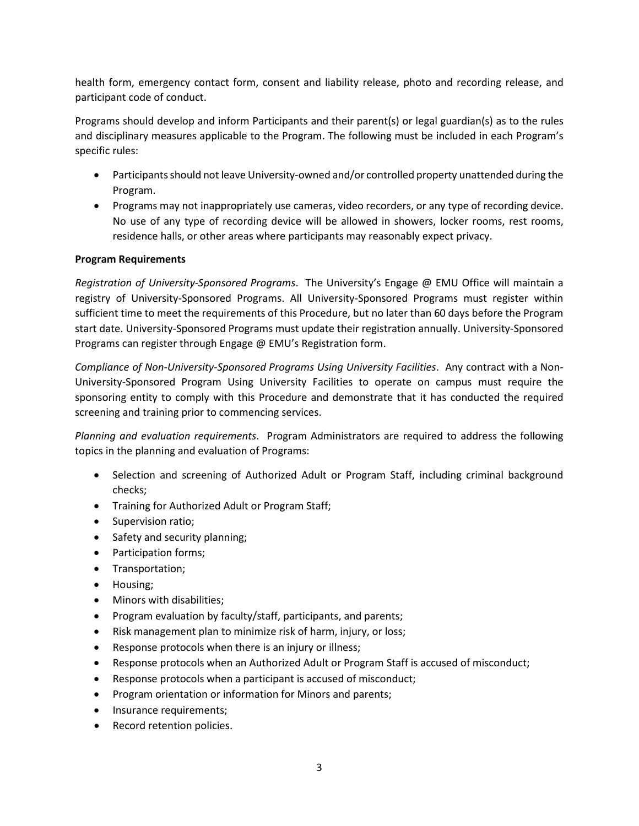health form, emergency contact form, consent and liability release, photo and recording release, and participant code of conduct.

Programs should develop and inform Participants and their parent(s) or legal guardian(s) as to the rules and disciplinary measures applicable to the Program. The following must be included in each Program's specific rules:

- Participants should not leave University-owned and/or controlled property unattended during the Program.
- Programs may not inappropriately use cameras, video recorders, or any type of recording device. No use of any type of recording device will be allowed in showers, locker rooms, rest rooms, residence halls, or other areas where participants may reasonably expect privacy.

### **Program Requirements**

*Registration of University-Sponsored Programs*. The University's Engage @ EMU Office will maintain a registry of University-Sponsored Programs. All University-Sponsored Programs must register within sufficient time to meet the requirements of this Procedure, but no later than 60 days before the Program start date. University-Sponsored Programs must update their registration annually. University-Sponsored Programs can register through Engage @ EMU's Registration form.

*Compliance of Non-University-Sponsored Programs Using University Facilities*. Any contract with a Non-University-Sponsored Program Using University Facilities to operate on campus must require the sponsoring entity to comply with this Procedure and demonstrate that it has conducted the required screening and training prior to commencing services.

*Planning and evaluation requirements*. Program Administrators are required to address the following topics in the planning and evaluation of Programs:

- Selection and screening of Authorized Adult or Program Staff, including criminal background checks;
- Training for Authorized Adult or Program Staff;
- Supervision ratio;
- Safety and security planning;
- Participation forms;
- Transportation;
- Housing;
- Minors with disabilities;
- Program evaluation by faculty/staff, participants, and parents;
- Risk management plan to minimize risk of harm, injury, or loss;
- Response protocols when there is an injury or illness;
- Response protocols when an Authorized Adult or Program Staff is accused of misconduct;
- Response protocols when a participant is accused of misconduct;
- Program orientation or information for Minors and parents;
- Insurance requirements;
- Record retention policies.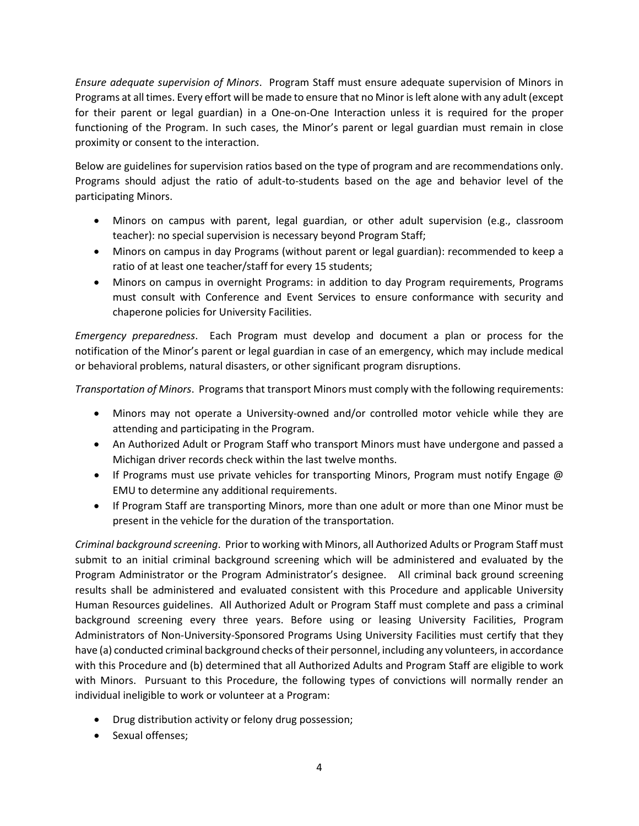*Ensure adequate supervision of Minors*. Program Staff must ensure adequate supervision of Minors in Programs at all times. Every effort will be made to ensure that no Minor is left alone with any adult (except for their parent or legal guardian) in a One-on-One Interaction unless it is required for the proper functioning of the Program. In such cases, the Minor's parent or legal guardian must remain in close proximity or consent to the interaction.

Below are guidelines for supervision ratios based on the type of program and are recommendations only. Programs should adjust the ratio of adult-to-students based on the age and behavior level of the participating Minors.

- Minors on campus with parent, legal guardian, or other adult supervision (e.g., classroom teacher): no special supervision is necessary beyond Program Staff;
- Minors on campus in day Programs (without parent or legal guardian): recommended to keep a ratio of at least one teacher/staff for every 15 students;
- Minors on campus in overnight Programs: in addition to day Program requirements, Programs must consult with Conference and Event Services to ensure conformance with security and chaperone policies for University Facilities.

*Emergency preparedness*. Each Program must develop and document a plan or process for the notification of the Minor's parent or legal guardian in case of an emergency, which may include medical or behavioral problems, natural disasters, or other significant program disruptions.

*Transportation of Minors*. Programs that transport Minors must comply with the following requirements:

- Minors may not operate a University-owned and/or controlled motor vehicle while they are attending and participating in the Program.
- An Authorized Adult or Program Staff who transport Minors must have undergone and passed a Michigan driver records check within the last twelve months.
- If Programs must use private vehicles for transporting Minors, Program must notify Engage @ EMU to determine any additional requirements.
- If Program Staff are transporting Minors, more than one adult or more than one Minor must be present in the vehicle for the duration of the transportation.

*Criminal background screening*. Prior to working with Minors, all Authorized Adults or Program Staff must submit to an initial criminal background screening which will be administered and evaluated by the Program Administrator or the Program Administrator's designee. All criminal back ground screening results shall be administered and evaluated consistent with this Procedure and applicable University Human Resources guidelines. All Authorized Adult or Program Staff must complete and pass a criminal background screening every three years. Before using or leasing University Facilities, Program Administrators of Non-University-Sponsored Programs Using University Facilities must certify that they have (a) conducted criminal background checks of their personnel, including any volunteers, in accordance with this Procedure and (b) determined that all Authorized Adults and Program Staff are eligible to work with Minors. Pursuant to this Procedure, the following types of convictions will normally render an individual ineligible to work or volunteer at a Program:

- Drug distribution activity or felony drug possession;
- Sexual offenses;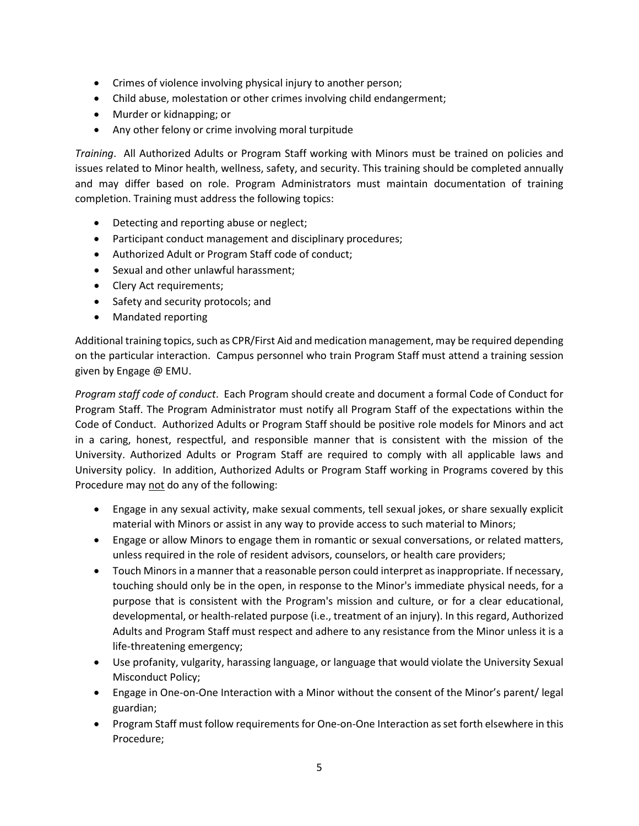- Crimes of violence involving physical injury to another person;
- Child abuse, molestation or other crimes involving child endangerment;
- Murder or kidnapping; or
- Any other felony or crime involving moral turpitude

*Training*. All Authorized Adults or Program Staff working with Minors must be trained on policies and issues related to Minor health, wellness, safety, and security. This training should be completed annually and may differ based on role. Program Administrators must maintain documentation of training completion. Training must address the following topics:

- Detecting and reporting abuse or neglect;
- Participant conduct management and disciplinary procedures;
- Authorized Adult or Program Staff code of conduct;
- Sexual and other unlawful harassment;
- Clery Act requirements;
- Safety and security protocols; and
- Mandated reporting

Additional training topics, such as CPR/First Aid and medication management, may be required depending on the particular interaction. Campus personnel who train Program Staff must attend a training session given by Engage @ EMU.

*Program staff code of conduct*. Each Program should create and document a formal Code of Conduct for Program Staff. The Program Administrator must notify all Program Staff of the expectations within the Code of Conduct. Authorized Adults or Program Staff should be positive role models for Minors and act in a caring, honest, respectful, and responsible manner that is consistent with the mission of the University. Authorized Adults or Program Staff are required to comply with all applicable laws and University policy. In addition, Authorized Adults or Program Staff working in Programs covered by this Procedure may not do any of the following:

- Engage in any sexual activity, make sexual comments, tell sexual jokes, or share sexually explicit material with Minors or assist in any way to provide access to such material to Minors;
- Engage or allow Minors to engage them in romantic or sexual conversations, or related matters, unless required in the role of resident advisors, counselors, or health care providers;
- Touch Minors in a manner that a reasonable person could interpret as inappropriate. If necessary, touching should only be in the open, in response to the Minor's immediate physical needs, for a purpose that is consistent with the Program's mission and culture, or for a clear educational, developmental, or health-related purpose (i.e., treatment of an injury). In this regard, Authorized Adults and Program Staff must respect and adhere to any resistance from the Minor unless it is a life-threatening emergency;
- Use profanity, vulgarity, harassing language, or language that would violate the University Sexual Misconduct Policy;
- Engage in One-on-One Interaction with a Minor without the consent of the Minor's parent/ legal guardian;
- Program Staff must follow requirements for One-on-One Interaction as set forth elsewhere in this Procedure;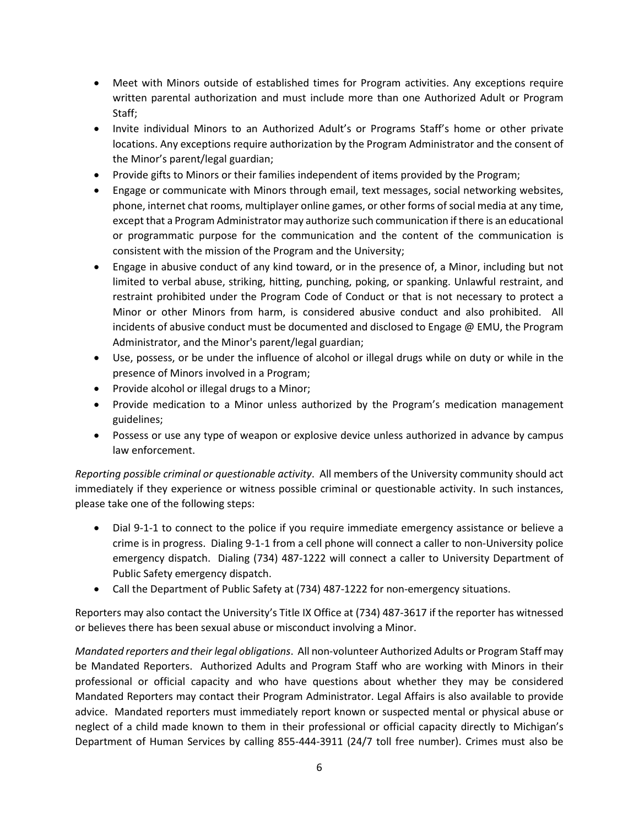- Meet with Minors outside of established times for Program activities. Any exceptions require written parental authorization and must include more than one Authorized Adult or Program Staff;
- Invite individual Minors to an Authorized Adult's or Programs Staff's home or other private locations. Any exceptions require authorization by the Program Administrator and the consent of the Minor's parent/legal guardian;
- Provide gifts to Minors or their families independent of items provided by the Program;
- Engage or communicate with Minors through email, text messages, social networking websites, phone, internet chat rooms, multiplayer online games, or other forms of social media at any time, except that a Program Administrator may authorize such communication if there is an educational or programmatic purpose for the communication and the content of the communication is consistent with the mission of the Program and the University;
- Engage in abusive conduct of any kind toward, or in the presence of, a Minor, including but not limited to verbal abuse, striking, hitting, punching, poking, or spanking. Unlawful restraint, and restraint prohibited under the Program Code of Conduct or that is not necessary to protect a Minor or other Minors from harm, is considered abusive conduct and also prohibited. All incidents of abusive conduct must be documented and disclosed to Engage @ EMU, the Program Administrator, and the Minor's parent/legal guardian;
- Use, possess, or be under the influence of alcohol or illegal drugs while on duty or while in the presence of Minors involved in a Program;
- Provide alcohol or illegal drugs to a Minor;
- Provide medication to a Minor unless authorized by the Program's medication management guidelines;
- Possess or use any type of weapon or explosive device unless authorized in advance by campus law enforcement.

*Reporting possible criminal or questionable activity*. All members of the University community should act immediately if they experience or witness possible criminal or questionable activity. In such instances, please take one of the following steps:

- Dial 9-1-1 to connect to the police if you require immediate emergency assistance or believe a crime is in progress. Dialing 9-1-1 from a cell phone will connect a caller to non-University police emergency dispatch. Dialing (734) 487-1222 will connect a caller to University Department of Public Safety emergency dispatch.
- Call the Department of Public Safety at (734) 487-1222 for non-emergency situations.

Reporters may also contact the University's Title IX Office at (734) 487-3617 if the reporter has witnessed or believes there has been sexual abuse or misconduct involving a Minor.

*Mandated reporters and their legal obligations*. All non-volunteer Authorized Adults or Program Staff may be Mandated Reporters. Authorized Adults and Program Staff who are working with Minors in their professional or official capacity and who have questions about whether they may be considered Mandated Reporters may contact their Program Administrator. Legal Affairs is also available to provide advice. Mandated reporters must immediately report known or suspected mental or physical abuse or neglect of a child made known to them in their professional or official capacity directly to Michigan's Department of Human Services by calling 855-444-3911 (24/7 toll free number). Crimes must also be